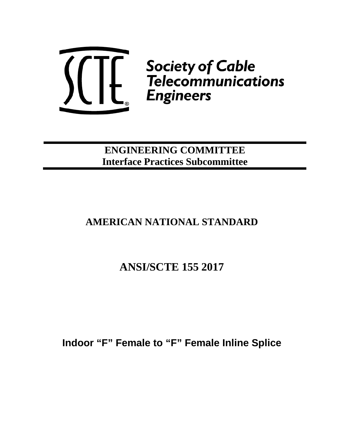

**ENGINEERING COMMITTEE Interface Practices Subcommittee**

## **AMERICAN NATIONAL STANDARD**

## **ANSI/SCTE 155 2017**

**Indoor "F" Female to "F" Female Inline Splice**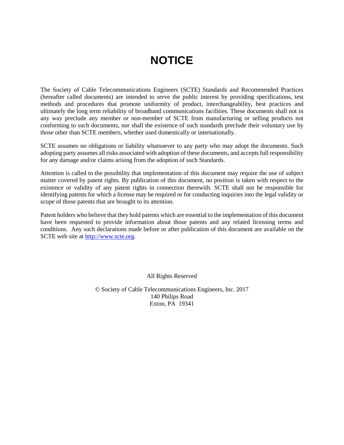# **NOTICE**

<span id="page-1-0"></span>The Society of Cable Telecommunications Engineers (SCTE) Standards and Recommended Practices (hereafter called documents) are intended to serve the public interest by providing specifications, test methods and procedures that promote uniformity of product, interchangeability, best practices and ultimately the long term reliability of broadband communications facilities. These documents shall not in any way preclude any member or non-member of SCTE from manufacturing or selling products not conforming to such documents, nor shall the existence of such standards preclude their voluntary use by those other than SCTE members, whether used domestically or internationally.

SCTE assumes no obligations or liability whatsoever to any party who may adopt the documents. Such adopting party assumes all risks associated with adoption of these documents, and accepts full responsibility for any damage and/or claims arising from the adoption of such Standards.

Attention is called to the possibility that implementation of this document may require the use of subject matter covered by patent rights. By publication of this document, no position is taken with respect to the existence or validity of any patent rights in connection therewith. SCTE shall not be responsible for identifying patents for which a license may be required or for conducting inquiries into the legal validity or scope of those patents that are brought to its attention.

Patent holders who believe that they hold patents which are essential to the implementation of this document have been requested to provide information about those patents and any related licensing terms and conditions. Any such declarations made before or after publication of this document are available on the SCTE web site at [http://www.scte.org.](http://www.scte.org/)

All Rights Reserved

© Society of Cable Telecommunications Engineers, Inc. 2017 140 Philips Road Exton, PA 19341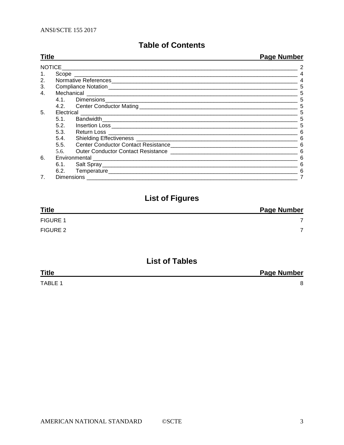## **Table of Contents**

| <b>Title</b>   |                              |                                                                                                                                                                                                                                    | <b>Page Number</b> |
|----------------|------------------------------|------------------------------------------------------------------------------------------------------------------------------------------------------------------------------------------------------------------------------------|--------------------|
|                |                              |                                                                                                                                                                                                                                    |                    |
| $1_{\cdot}$    |                              |                                                                                                                                                                                                                                    |                    |
| 2.             |                              |                                                                                                                                                                                                                                    |                    |
| 3.             |                              |                                                                                                                                                                                                                                    | 5                  |
| 4.             |                              |                                                                                                                                                                                                                                    | 5                  |
|                |                              |                                                                                                                                                                                                                                    | 5                  |
|                |                              |                                                                                                                                                                                                                                    | 5                  |
| 5.             | Electrical <b>Electrical</b> |                                                                                                                                                                                                                                    | 5                  |
|                |                              |                                                                                                                                                                                                                                    | 5                  |
|                |                              |                                                                                                                                                                                                                                    | 5                  |
|                |                              |                                                                                                                                                                                                                                    | 6                  |
|                |                              |                                                                                                                                                                                                                                    | 6                  |
|                | 5.5.                         |                                                                                                                                                                                                                                    | 6                  |
|                |                              | 5.6. Outer Conductor Contact Resistance <b>Constant Contact Resistance Constant Constant Constant Constant Constant Constant Constant Constant Constant Constant Constant Constant Constant Constant Constant Constant Constan</b> | 6                  |
| 6.             |                              |                                                                                                                                                                                                                                    |                    |
|                |                              |                                                                                                                                                                                                                                    | 6                  |
|                |                              |                                                                                                                                                                                                                                    | 6                  |
| 7 <sub>1</sub> |                              |                                                                                                                                                                                                                                    |                    |

## **List of Figures**

| <b>Title</b>    | <b>Page Number</b> |
|-----------------|--------------------|
| <b>FIGURE 1</b> |                    |
| FIGURE 2        | ⇁                  |

## **List of Tables**

| <b>Title</b>   | <b>Page Number</b> |
|----------------|--------------------|
| <b>TABLE 1</b> |                    |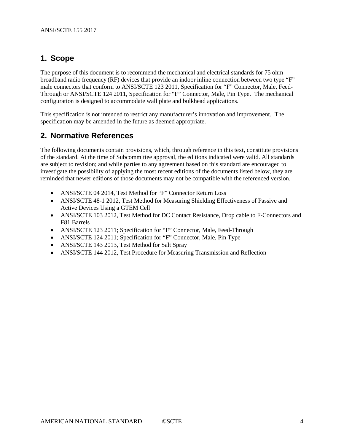## <span id="page-3-0"></span>**1. Scope**

The purpose of this document is to recommend the mechanical and electrical standards for 75 ohm broadband radio frequency (RF) devices that provide an indoor inline connection between two type "F" male connectors that conform to ANSI/SCTE 123 2011, Specification for "F" Connector, Male, Feed-Through or ANSI/SCTE 124 2011, Specification for "F" Connector, Male, Pin Type. The mechanical configuration is designed to accommodate wall plate and bulkhead applications.

This specification is not intended to restrict any manufacturer's innovation and improvement. The specification may be amended in the future as deemed appropriate.

## <span id="page-3-1"></span>**2. Normative References**

The following documents contain provisions, which, through reference in this text, constitute provisions of the standard. At the time of Subcommittee approval, the editions indicated were valid. All standards are subject to revision; and while parties to any agreement based on this standard are encouraged to investigate the possibility of applying the most recent editions of the documents listed below, they are reminded that newer editions of those documents may not be compatible with the referenced version.

- ANSI/SCTE 04 2014, Test Method for "F" Connector Return Loss
- ANSI/SCTE 48-1 2012, Test Method for Measuring Shielding Effectiveness of Passive and Active Devices Using a GTEM Cell
- ANSI/SCTE 103 2012, Test Method for DC Contact Resistance, Drop cable to F-Connectors and F81 Barrels
- ANSI/SCTE 123 2011; Specification for "F" Connector, Male, Feed-Through
- ANSI/SCTE 124 2011; Specification for "F" Connector, Male, Pin Type
- ANSI/SCTE 143 2013, Test Method for Salt Spray
- ANSI/SCTE 144 2012, Test Procedure for Measuring Transmission and Reflection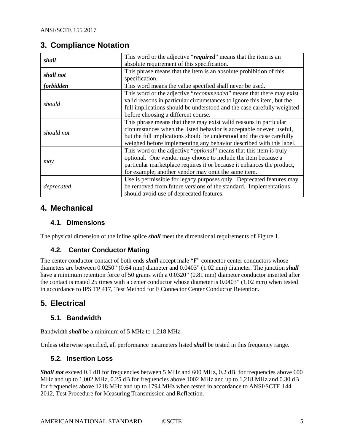## <span id="page-4-0"></span>**3. Compliance Notation**

| shall      | This word or the adjective "required" means that the item is an              |
|------------|------------------------------------------------------------------------------|
|            | absolute requirement of this specification.                                  |
| shall not  | This phrase means that the item is an absolute prohibition of this           |
|            | specification.                                                               |
| forbidden  | This word means the value specified shall never be used.                     |
|            | This word or the adjective "recommended" means that there may exist          |
| should     | valid reasons in particular circumstances to ignore this item, but the       |
|            | full implications should be understood and the case carefully weighted       |
|            | before choosing a different course.                                          |
|            | This phrase means that there may exist valid reasons in particular           |
| should not | circumstances when the listed behavior is acceptable or even useful,         |
|            | but the full implications should be understood and the case carefully        |
|            | weighed before implementing any behavior described with this label.          |
|            | This word or the adjective " <i>optional</i> " means that this item is truly |
|            | optional. One vendor may choose to include the item because a                |
| may        | particular marketplace requires it or because it enhances the product,       |
|            | for example; another vendor may omit the same item.                          |
|            | Use is permissible for legacy purposes only. Deprecated features may         |
| deprecated | be removed from future versions of the standard. Implementations             |
|            | should avoid use of deprecated features.                                     |

## <span id="page-4-1"></span>**4. Mechanical**

#### <span id="page-4-2"></span>**4.1. Dimensions**

The physical dimension of the inline splice *shall* meet the dimensional requirements of [Figure 1.](#page-6-1)

### <span id="page-4-3"></span>**4.2. Center Conductor Mating**

The center conductor contact of both ends *shall* accept male "F" connector center conductors whose diameters are between 0.0250" (0.64 mm) diameter and 0.0403" (1.02 mm) diameter. The junction *shall*  have a minimum retention force of 50 grams with a  $0.0320$ " (0.81 mm) diameter conductor inserted after the contact is mated 25 times with a center conductor whose diameter is 0.0403" (1.02 mm) when tested in accordance to IPS TP 417, Test Method for F Connector Center Conductor Retention.

## <span id="page-4-4"></span>**5. Electrical**

### <span id="page-4-5"></span>**5.1. Bandwidth**

Bandwidth *shall* be a minimum of 5 MHz to 1,218 MHz.

<span id="page-4-6"></span>Unless otherwise specified, all performance parameters listed *shall* be tested in this frequency range.

#### **5.2. Insertion Loss**

*Shall not* exceed 0.1 dB for frequencies between 5 MHz and 600 MHz, 0.2 dB, for frequencies above 600 MHz and up to 1,002 MHz, 0.25 dB for frequencies above 1002 MHz and up to 1,218 MHz and 0.30 dB for frequencies above 1218 MHz and up to 1794 MHz when tested in accordance to ANSI/SCTE 144 2012, Test Procedure for Measuring Transmission and Reflection.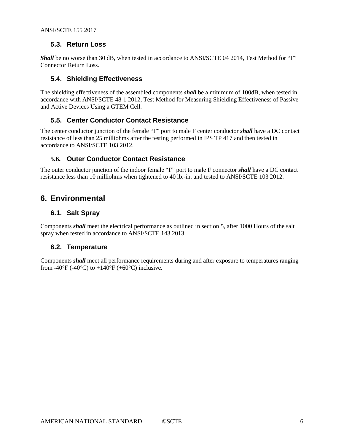#### <span id="page-5-0"></span>**5.3. Return Loss**

*Shall* be no worse than 30 dB, when tested in accordance to ANSI/SCTE 04 2014, Test Method for "F" Connector Return Loss.

#### <span id="page-5-1"></span>**5.4. Shielding Effectiveness**

The shielding effectiveness of the assembled components *shall* be a minimum of 100dB, when tested in accordance with ANSI/SCTE 48-1 2012, Test Method for Measuring Shielding Effectiveness of Passive and Active Devices Using a GTEM Cell.

#### <span id="page-5-2"></span>**5.5. Center Conductor Contact Resistance**

The center conductor junction of the female "F" port to male F center conductor *shall* have a DC contact resistance of less than 25 milliohms after the testing performed in IPS TP 417 and then tested in accordance to ANSI/SCTE 103 2012.

#### <span id="page-5-3"></span>**5.6. Outer Conductor Contact Resistance**

The outer conductor junction of the indoor female "F" port to male F connector *shall* have a DC contact resistance less than 10 milliohms when tightened to 40 lb.-in. and tested to ANSI/SCTE 103 2012.

## <span id="page-5-4"></span>**6. Environmental**

#### <span id="page-5-5"></span>**6.1. Salt Spray**

Components *shall* meet the electrical performance as outlined in section 5, after 1000 Hours of the salt spray when tested in accordance to ANSI/SCTE 143 2013.

#### <span id="page-5-6"></span>**6.2. Temperature**

Components *shall* meet all performance requirements during and after exposure to temperatures ranging from -40°F (-40°C) to  $+140$ °F (+60°C) inclusive.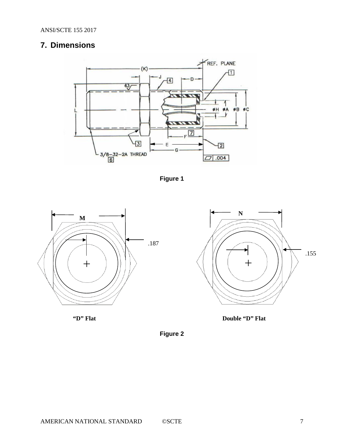## <span id="page-6-0"></span>**7. Dimensions**



**Figure 1**

<span id="page-6-1"></span>

<span id="page-6-2"></span>



**"D" Flat Double "D" Flat**

**Figure 2**